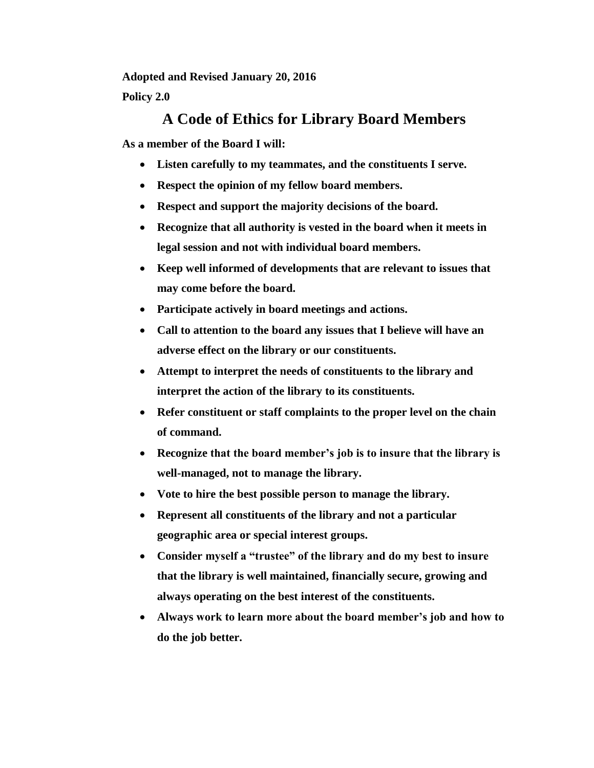**Adopted and Revised January 20, 2016**

**Policy 2.0**

## **A Code of Ethics for Library Board Members**

**As a member of the Board I will:**

- **Listen carefully to my teammates, and the constituents I serve.**
- **Respect the opinion of my fellow board members.**
- **Respect and support the majority decisions of the board.**
- **Recognize that all authority is vested in the board when it meets in legal session and not with individual board members.**
- **Keep well informed of developments that are relevant to issues that may come before the board.**
- **Participate actively in board meetings and actions.**
- **Call to attention to the board any issues that I believe will have an adverse effect on the library or our constituents.**
- **Attempt to interpret the needs of constituents to the library and interpret the action of the library to its constituents.**
- **Refer constituent or staff complaints to the proper level on the chain of command.**
- **Recognize that the board member's job is to insure that the library is well-managed, not to manage the library.**
- **Vote to hire the best possible person to manage the library.**
- **Represent all constituents of the library and not a particular geographic area or special interest groups.**
- **Consider myself a "trustee" of the library and do my best to insure that the library is well maintained, financially secure, growing and always operating on the best interest of the constituents.**
- **Always work to learn more about the board member's job and how to do the job better.**